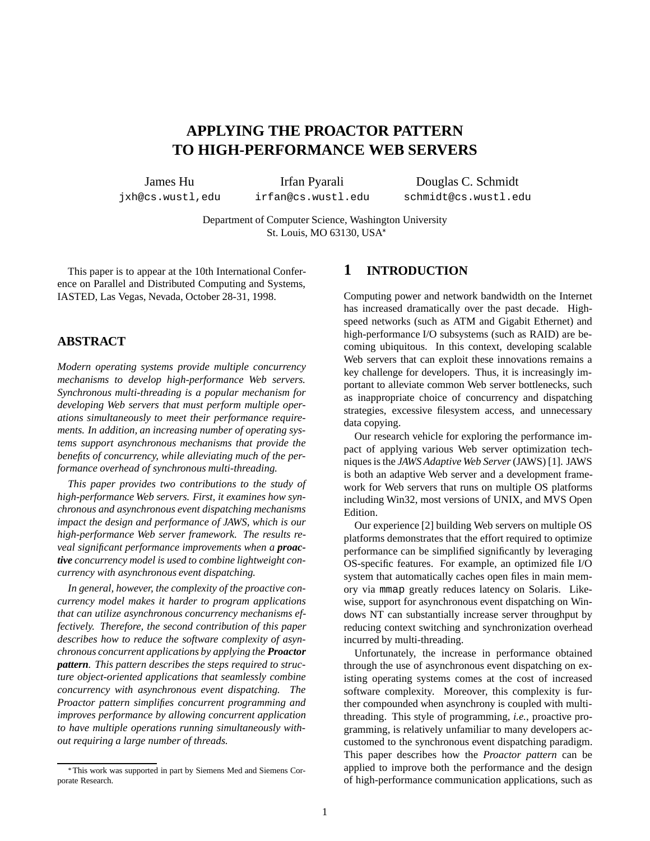# **APPLYING THE PROACTOR PATTERN TO HIGH-PERFORMANCE WEB SERVERS**

James Hu

jxh@cs.wustl,edu

Irfan Pyarali irfan@cs.wustl.edu

Douglas C. Schmidt schmidt@cs.wustl.edu

Department of Computer Science, Washington University St. Louis, MO 63130, USA

This paper is to appear at the 10th International Conference on Parallel and Distributed Computing and Systems, IASTED, Las Vegas, Nevada, October 28-31, 1998.

## **ABSTRACT**

*Modern operating systems provide multiple concurrency mechanisms to develop high-performance Web servers. Synchronous multi-threading is a popular mechanism for developing Web servers that must perform multiple operations simultaneously to meet their performance requirements. In addition, an increasing number of operating systems support asynchronous mechanisms that provide the benefits of concurrency, while alleviating much of the performance overhead of synchronous multi-threading.*

*This paper provides two contributions to the study of high-performance Web servers. First, it examines how synchronous and asynchronous event dispatching mechanisms impact the design and performance of JAWS, which is our high-performance Web server framework. The results reveal significant performance improvements when a proactive concurrency model is used to combine lightweight concurrency with asynchronous event dispatching.*

*In general, however, the complexity of the proactive concurrency model makes it harder to program applications that can utilize asynchronous concurrency mechanisms effectively. Therefore, the second contribution of this paper describes how to reduce the software complexity of asynchronous concurrent applications by applying the Proactor pattern. This pattern describes the steps required to structure object-oriented applications that seamlessly combine concurrency with asynchronous event dispatching. The Proactor pattern simplifies concurrent programming and improves performance by allowing concurrent application to have multiple operations running simultaneously without requiring a large number of threads.*

## **1 INTRODUCTION**

Computing power and network bandwidth on the Internet has increased dramatically over the past decade. Highspeed networks (such as ATM and Gigabit Ethernet) and high-performance I/O subsystems (such as RAID) are becoming ubiquitous. In this context, developing scalable Web servers that can exploit these innovations remains a key challenge for developers. Thus, it is increasingly important to alleviate common Web server bottlenecks, such as inappropriate choice of concurrency and dispatching strategies, excessive filesystem access, and unnecessary data copying.

Our research vehicle for exploring the performance impact of applying various Web server optimization techniques is the *JAWS Adaptive Web Server*(JAWS) [1]. JAWS is both an adaptive Web server and a development framework for Web servers that runs on multiple OS platforms including Win32, most versions of UNIX, and MVS Open Edition.

Our experience [2] building Web servers on multiple OS platforms demonstrates that the effort required to optimize performance can be simplified significantly by leveraging OS-specific features. For example, an optimized file I/O system that automatically caches open files in main memory via mmap greatly reduces latency on Solaris. Likewise, support for asynchronous event dispatching on Windows NT can substantially increase server throughput by reducing context switching and synchronization overhead incurred by multi-threading.

Unfortunately, the increase in performance obtained through the use of asynchronous event dispatching on existing operating systems comes at the cost of increased software complexity. Moreover, this complexity is further compounded when asynchrony is coupled with multithreading. This style of programming, *i.e.*, proactive programming, is relatively unfamiliar to many developers accustomed to the synchronous event dispatching paradigm. This paper describes how the *Proactor pattern* can be applied to improve both the performance and the design of high-performance communication applications, such as

This work was supported in part by Siemens Med and Siemens Corporate Research.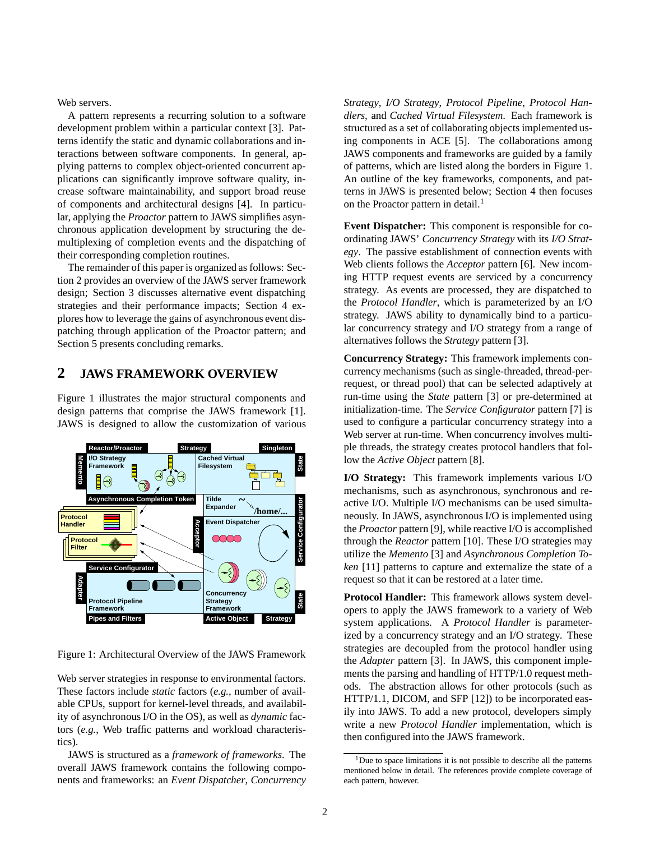Web servers.

A pattern represents a recurring solution to a software development problem within a particular context [3]. Patterns identify the static and dynamic collaborations and interactions between software components. In general, applying patterns to complex object-oriented concurrent applications can significantly improve software quality, increase software maintainability, and support broad reuse of components and architectural designs [4]. In particular, applying the *Proactor* pattern to JAWS simplifies asynchronous application development by structuring the demultiplexing of completion events and the dispatching of their corresponding completion routines.

The remainder of this paper is organized as follows: Section 2 provides an overview of the JAWS server framework design; Section 3 discusses alternative event dispatching strategies and their performance impacts; Section 4 explores how to leverage the gains of asynchronous event dispatching through application of the Proactor pattern; and Section 5 presents concluding remarks.

## **2 JAWS FRAMEWORK OVERVIEW**

Figure 1 illustrates the major structural components and design patterns that comprise the JAWS framework [1]. JAWS is designed to allow the customization of various



Figure 1: Architectural Overview of the JAWS Framework

Web server strategies in response to environmental factors. These factors include *static* factors (*e.g.*, number of available CPUs, support for kernel-level threads, and availability of asynchronous I/O in the OS), as well as *dynamic* factors (*e.g.*, Web traffic patterns and workload characteristics).

JAWS is structured as a *framework of frameworks*. The overall JAWS framework contains the following components and frameworks: an *Event Dispatcher*, *Concurrency* *Strategy*, *I/O Strategy*, *Protocol Pipeline*, *Protocol Handlers*, and *Cached Virtual Filesystem*. Each framework is structured as a set of collaborating objects implemented using components in ACE [5]. The collaborations among JAWS components and frameworks are guided by a family of patterns, which are listed along the borders in Figure 1. An outline of the key frameworks, components, and patterns in JAWS is presented below; Section 4 then focuses on the Proactor pattern in detail.<sup>1</sup>

**Event Dispatcher:** This component is responsible for coordinating JAWS' *Concurrency Strategy* with its *I/O Strategy*. The passive establishment of connection events with Web clients follows the *Acceptor* pattern [6]. New incoming HTTP request events are serviced by a concurrency strategy. As events are processed, they are dispatched to the *Protocol Handler*, which is parameterized by an I/O strategy. JAWS ability to dynamically bind to a particular concurrency strategy and I/O strategy from a range of alternatives follows the *Strategy* pattern [3].

**Concurrency Strategy:** This framework implements concurrency mechanisms (such as single-threaded, thread-perrequest, or thread pool) that can be selected adaptively at run-time using the *State* pattern [3] or pre-determined at initialization-time. The *Service Configurator* pattern [7] is used to configure a particular concurrency strategy into a Web server at run-time. When concurrency involves multiple threads, the strategy creates protocol handlers that follow the *Active Object* pattern [8].

**I/O Strategy:** This framework implements various I/O mechanisms, such as asynchronous, synchronous and reactive I/O. Multiple I/O mechanisms can be used simultaneously. In JAWS, asynchronous I/O is implemented using the *Proactor* pattern [9], while reactive I/O is accomplished through the *Reactor* pattern [10]. These I/O strategies may utilize the *Memento* [3] and *Asynchronous Completion Token* [11] patterns to capture and externalize the state of a request so that it can be restored at a later time.

**Protocol Handler:** This framework allows system developers to apply the JAWS framework to a variety of Web system applications. A *Protocol Handler* is parameterized by a concurrency strategy and an I/O strategy. These strategies are decoupled from the protocol handler using the *Adapter* pattern [3]. In JAWS, this component implements the parsing and handling of HTTP/1.0 request methods. The abstraction allows for other protocols (such as HTTP/1.1, DICOM, and SFP [12]) to be incorporated easily into JAWS. To add a new protocol, developers simply write a new *Protocol Handler* implementation, which is then configured into the JAWS framework.

 $1$ Due to space limitations it is not possible to describe all the patterns mentioned below in detail. The references provide complete coverage of each pattern, however.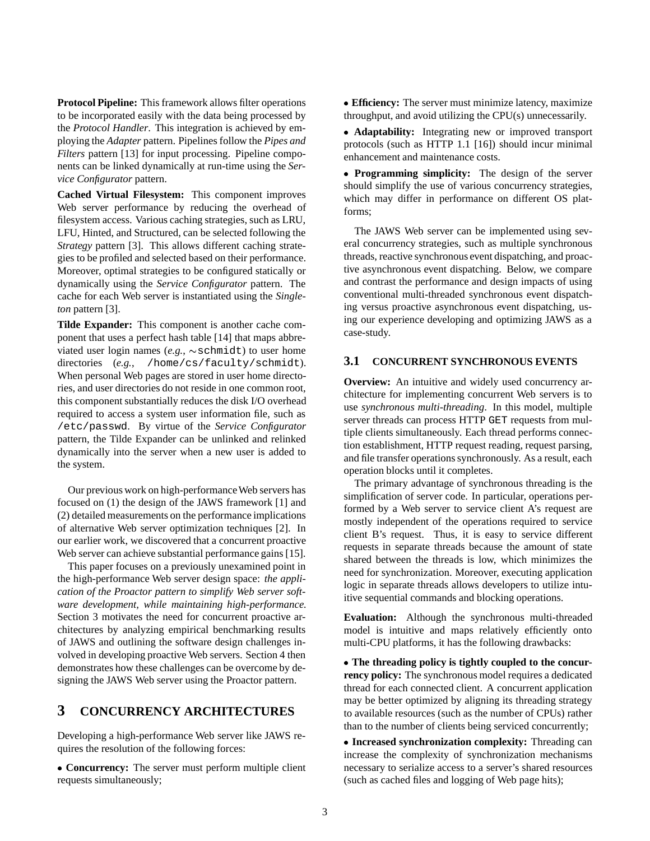**Protocol Pipeline:** This framework allows filter operations to be incorporated easily with the data being processed by the *Protocol Handler*. This integration is achieved by employing the *Adapter* pattern. Pipelines follow the *Pipes and Filters* pattern [13] for input processing. Pipeline components can be linked dynamically at run-time using the *Service Configurator* pattern.

**Cached Virtual Filesystem:** This component improves Web server performance by reducing the overhead of filesystem access. Various caching strategies, such as LRU, LFU, Hinted, and Structured, can be selected following the *Strategy* pattern [3]. This allows different caching strategies to be profiled and selected based on their performance. Moreover, optimal strategies to be configured statically or dynamically using the *Service Configurator* pattern. The cache for each Web server is instantiated using the *Singleton* pattern [3].

**Tilde Expander:** This component is another cache component that uses a perfect hash table [14] that maps abbreviated user login names  $(e.g., \sim \text{schmidt})$  to user home directories (e.g., /home/cs/faculty/schmidt). When personal Web pages are stored in user home directories, and user directories do not reside in one common root, this component substantially reduces the disk I/O overhead required to access a system user information file, such as /etc/passwd. By virtue of the *Service Configurator* pattern, the Tilde Expander can be unlinked and relinked dynamically into the server when a new user is added to the system.

Our previous work on high-performance Web servers has focused on (1) the design of the JAWS framework [1] and (2) detailed measurements on the performance implications of alternative Web server optimization techniques [2]. In our earlier work, we discovered that a concurrent proactive Web server can achieve substantial performance gains [15].

This paper focuses on a previously unexamined point in the high-performance Web server design space: *the application of the Proactor pattern to simplify Web server software development, while maintaining high-performance.* Section 3 motivates the need for concurrent proactive architectures by analyzing empirical benchmarking results of JAWS and outlining the software design challenges involved in developing proactive Web servers. Section 4 then demonstrates how these challenges can be overcome by designing the JAWS Web server using the Proactor pattern.

## **3 CONCURRENCY ARCHITECTURES**

Developing a high-performance Web server like JAWS requires the resolution of the following forces:

 **Concurrency:** The server must perform multiple client requests simultaneously;

 **Efficiency:** The server must minimize latency, maximize throughput, and avoid utilizing the CPU(s) unnecessarily.

 **Adaptability:** Integrating new or improved transport protocols (such as HTTP 1.1 [16]) should incur minimal enhancement and maintenance costs.

 **Programming simplicity:** The design of the server should simplify the use of various concurrency strategies, which may differ in performance on different OS platforms;

The JAWS Web server can be implemented using several concurrency strategies, such as multiple synchronous threads, reactive synchronous event dispatching, and proactive asynchronous event dispatching. Below, we compare and contrast the performance and design impacts of using conventional multi-threaded synchronous event dispatching versus proactive asynchronous event dispatching, using our experience developing and optimizing JAWS as a case-study.

#### **3.1 CONCURRENT SYNCHRONOUS EVENTS**

**Overview:** An intuitive and widely used concurrency architecture for implementing concurrent Web servers is to use *synchronous multi-threading*. In this model, multiple server threads can process HTTP GET requests from multiple clients simultaneously. Each thread performs connection establishment, HTTP request reading, request parsing, and file transfer operations synchronously. As a result, each operation blocks until it completes.

The primary advantage of synchronous threading is the simplification of server code. In particular, operations performed by a Web server to service client A's request are mostly independent of the operations required to service client B's request. Thus, it is easy to service different requests in separate threads because the amount of state shared between the threads is low, which minimizes the need for synchronization. Moreover, executing application logic in separate threads allows developers to utilize intuitive sequential commands and blocking operations.

**Evaluation:** Although the synchronous multi-threaded model is intuitive and maps relatively efficiently onto multi-CPU platforms, it has the following drawbacks:

 **The threading policy is tightly coupled to the concurrency policy:** The synchronous model requires a dedicated thread for each connected client. A concurrent application may be better optimized by aligning its threading strategy to available resources (such as the number of CPUs) rather than to the number of clients being serviced concurrently;

 **Increased synchronization complexity:** Threading can increase the complexity of synchronization mechanisms necessary to serialize access to a server's shared resources (such as cached files and logging of Web page hits);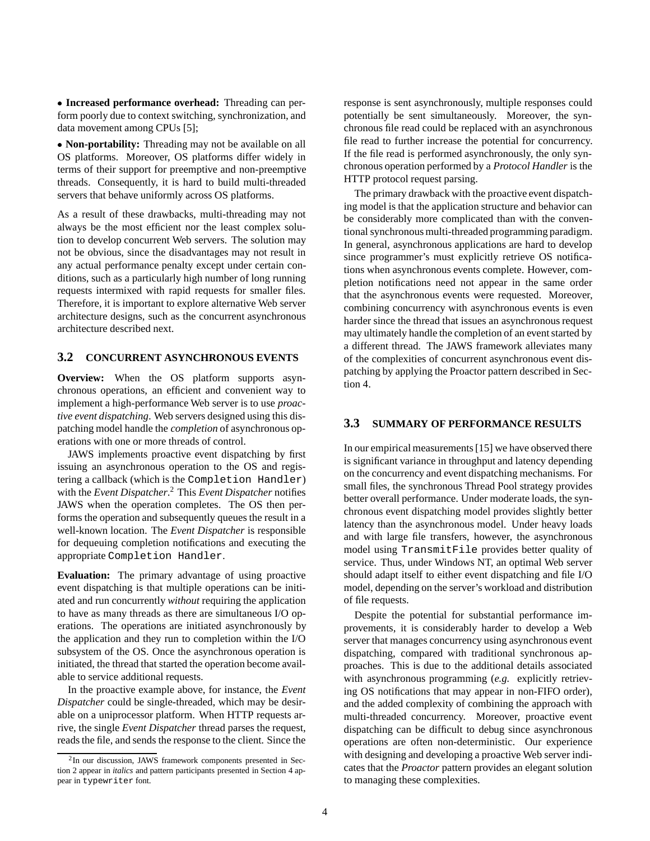**Increased performance overhead:** Threading can perform poorly due to context switching, synchronization, and data movement among CPUs [5];

 **Non-portability:** Threading may not be available on all OS platforms. Moreover, OS platforms differ widely in terms of their support for preemptive and non-preemptive threads. Consequently, it is hard to build multi-threaded servers that behave uniformly across OS platforms.

As a result of these drawbacks, multi-threading may not always be the most efficient nor the least complex solution to develop concurrent Web servers. The solution may not be obvious, since the disadvantages may not result in any actual performance penalty except under certain conditions, such as a particularly high number of long running requests intermixed with rapid requests for smaller files. Therefore, it is important to explore alternative Web server architecture designs, such as the concurrent asynchronous architecture described next.

#### **3.2 CONCURRENT ASYNCHRONOUS EVENTS**

**Overview:** When the OS platform supports asynchronous operations, an efficient and convenient way to implement a high-performance Web server is to use *proactive event dispatching*. Web servers designed using this dispatching model handle the *completion* of asynchronous operations with one or more threads of control.

JAWS implements proactive event dispatching by first issuing an asynchronous operation to the OS and registering a callback (which is the Completion Handler) with the *Event Dispatcher*. <sup>2</sup> This *Event Dispatcher* notifies JAWS when the operation completes. The OS then performs the operation and subsequently queues the result in a well-known location. The *Event Dispatcher* is responsible for dequeuing completion notifications and executing the appropriate Completion Handler.

**Evaluation:** The primary advantage of using proactive event dispatching is that multiple operations can be initiated and run concurrently *without* requiring the application to have as many threads as there are simultaneous I/O operations. The operations are initiated asynchronously by the application and they run to completion within the I/O subsystem of the OS. Once the asynchronous operation is initiated, the thread that started the operation become available to service additional requests.

In the proactive example above, for instance, the *Event Dispatcher* could be single-threaded, which may be desirable on a uniprocessor platform. When HTTP requests arrive, the single *Event Dispatcher* thread parses the request, reads the file, and sends the response to the client. Since the

response is sent asynchronously, multiple responses could potentially be sent simultaneously. Moreover, the synchronous file read could be replaced with an asynchronous file read to further increase the potential for concurrency. If the file read is performed asynchronously, the only synchronous operation performed by a *Protocol Handler* is the HTTP protocol request parsing.

The primary drawback with the proactive event dispatching model is that the application structure and behavior can be considerably more complicated than with the conventional synchronous multi-threaded programming paradigm. In general, asynchronous applications are hard to develop since programmer's must explicitly retrieve OS notifications when asynchronous events complete. However, completion notifications need not appear in the same order that the asynchronous events were requested. Moreover, combining concurrency with asynchronous events is even harder since the thread that issues an asynchronous request may ultimately handle the completion of an event started by a different thread. The JAWS framework alleviates many of the complexities of concurrent asynchronous event dispatching by applying the Proactor pattern described in Section 4.

### **3.3 SUMMARY OF PERFORMANCE RESULTS**

In our empirical measurements [15] we have observed there is significant variance in throughput and latency depending on the concurrency and event dispatching mechanisms. For small files, the synchronous Thread Pool strategy provides better overall performance. Under moderate loads, the synchronous event dispatching model provides slightly better latency than the asynchronous model. Under heavy loads and with large file transfers, however, the asynchronous model using TransmitFile provides better quality of service. Thus, under Windows NT, an optimal Web server should adapt itself to either event dispatching and file I/O model, depending on the server's workload and distribution of file requests.

Despite the potential for substantial performance improvements, it is considerably harder to develop a Web server that manages concurrency using asynchronous event dispatching, compared with traditional synchronous approaches. This is due to the additional details associated with asynchronous programming (*e.g.* explicitly retrieving OS notifications that may appear in non-FIFO order), and the added complexity of combining the approach with multi-threaded concurrency. Moreover, proactive event dispatching can be difficult to debug since asynchronous operations are often non-deterministic. Our experience with designing and developing a proactive Web server indicates that the *Proactor* pattern provides an elegant solution to managing these complexities.

<sup>&</sup>lt;sup>2</sup>In our discussion, JAWS framework components presented in Section 2 appear in *italics* and pattern participants presented in Section 4 appear in typewriter font.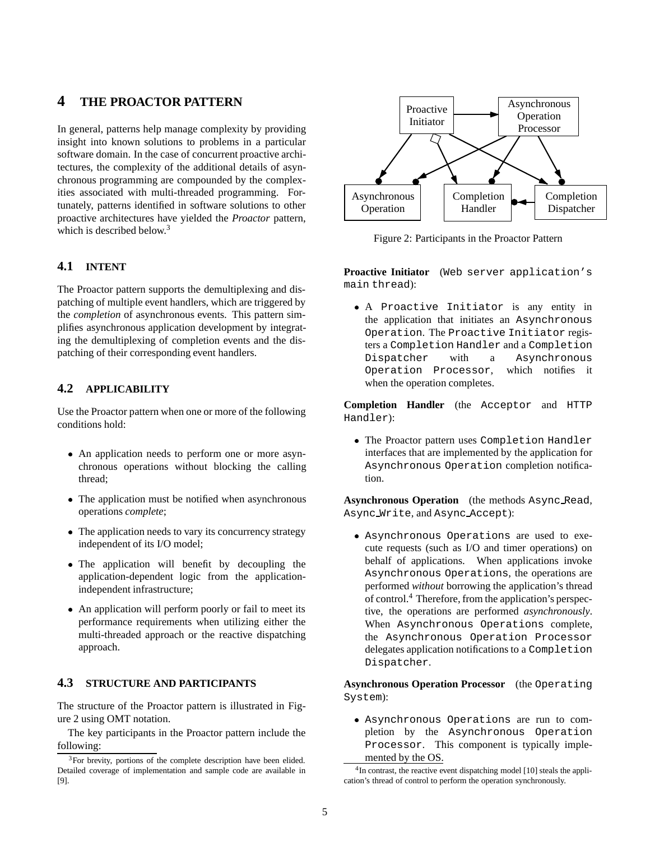## **4 THE PROACTOR PATTERN**

In general, patterns help manage complexity by providing insight into known solutions to problems in a particular software domain. In the case of concurrent proactive architectures, the complexity of the additional details of asynchronous programming are compounded by the complexities associated with multi-threaded programming. Fortunately, patterns identified in software solutions to other proactive architectures have yielded the *Proactor* pattern, which is described below.<sup>3</sup>

### **4.1 INTENT**

The Proactor pattern supports the demultiplexing and dispatching of multiple event handlers, which are triggered by the *completion* of asynchronous events. This pattern simplifies asynchronous application development by integrating the demultiplexing of completion events and the dispatching of their corresponding event handlers.

### **4.2 APPLICABILITY**

Use the Proactor pattern when one or more of the following conditions hold:

- An application needs to perform one or more asynchronous operations without blocking the calling thread;
- The application must be notified when asynchronous operations *complete*;
- The application needs to vary its concurrency strategy independent of its I/O model;
- The application will benefit by decoupling the application-dependent logic from the applicationindependent infrastructure;
- An application will perform poorly or fail to meet its performance requirements when utilizing either the multi-threaded approach or the reactive dispatching approach.

## **4.3 STRUCTURE AND PARTICIPANTS**

The structure of the Proactor pattern is illustrated in Figure 2 using OMT notation.

The key participants in the Proactor pattern include the following:



Figure 2: Participants in the Proactor Pattern

**Proactive Initiator** (Web server application's main thread):

 A Proactive Initiator is any entity in the application that initiates an Asynchronous Operation. The Proactive Initiator registers a Completion Handler and a Completion Dispatcher with a Asynchronous Operation Processor, which notifies it when the operation completes.

**Completion Handler** (the Acceptor and HTTP Handler):

 The Proactor pattern uses Completion Handler interfaces that are implemented by the application for Asynchronous Operation completion notification.

**Asynchronous Operation** (the methods Async Read, Async Write, and Async Accept):

 Asynchronous Operations are used to execute requests (such as I/O and timer operations) on behalf of applications. When applications invoke Asynchronous Operations, the operations are performed *without* borrowing the application's thread of control.<sup>4</sup> Therefore, from the application's perspective, the operations are performed *asynchronously*. When Asynchronous Operations complete, the Asynchronous Operation Processor delegates application notifications to a Completion Dispatcher.

**Asynchronous Operation Processor** (the Operating System):

 Asynchronous Operations are run to completion by the Asynchronous Operation Processor. This component is typically implemented by the OS.

 $3$ For brevity, portions of the complete description have been elided. Detailed coverage of implementation and sample code are available in [9].

<sup>&</sup>lt;sup>4</sup>In contrast, the reactive event dispatching model [10] steals the application's thread of control to perform the operation synchronously.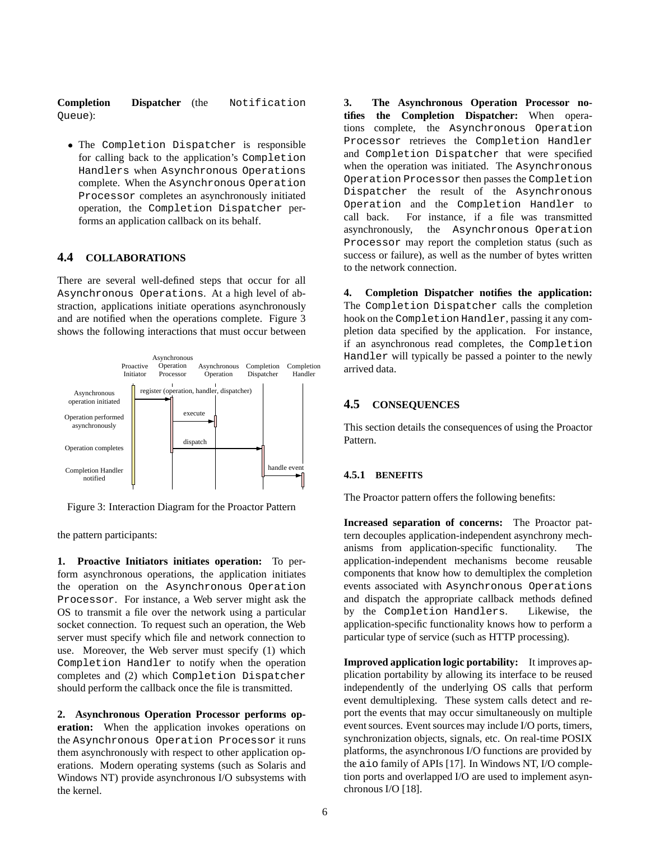#### **Completion Dispatcher** (the Notification Queue):

 The Completion Dispatcher is responsible for calling back to the application's Completion Handlers when Asynchronous Operations complete. When the Asynchronous Operation Processor completes an asynchronously initiated operation, the Completion Dispatcher performs an application callback on its behalf.

## **4.4 COLLABORATIONS**

There are several well-defined steps that occur for all Asynchronous Operations. At a high level of abstraction, applications initiate operations asynchronously and are notified when the operations complete. Figure 3 shows the following interactions that must occur between



Figure 3: Interaction Diagram for the Proactor Pattern

the pattern participants:

**1. Proactive Initiators initiates operation:** To perform asynchronous operations, the application initiates the operation on the Asynchronous Operation Processor. For instance, a Web server might ask the OS to transmit a file over the network using a particular socket connection. To request such an operation, the Web server must specify which file and network connection to use. Moreover, the Web server must specify (1) which Completion Handler to notify when the operation completes and (2) which Completion Dispatcher should perform the callback once the file is transmitted.

**2. Asynchronous Operation Processor performs operation:** When the application invokes operations on the Asynchronous Operation Processor it runs them asynchronously with respect to other application operations. Modern operating systems (such as Solaris and Windows NT) provide asynchronous I/O subsystems with the kernel.

**3. The Asynchronous Operation Processor notifies the Completion Dispatcher:** When operations complete, the Asynchronous Operation Processor retrieves the Completion Handler and Completion Dispatcher that were specified when the operation was initiated. The Asynchronous Operation Processor then passes the Completion Dispatcher the result of the Asynchronous Operation and the Completion Handler to call back. For instance, if a file was transmitted asynchronously, the Asynchronous Operation Processor may report the completion status (such as success or failure), as well as the number of bytes written to the network connection.

**4. Completion Dispatcher notifies the application:** The Completion Dispatcher calls the completion hook on the Completion Handler, passing it any completion data specified by the application. For instance, if an asynchronous read completes, the Completion Handler will typically be passed a pointer to the newly arrived data.

#### **4.5 CONSEQUENCES**

This section details the consequences of using the Proactor Pattern.

#### **4.5.1 BENEFITS**

The Proactor pattern offers the following benefits:

**Increased separation of concerns:** The Proactor pattern decouples application-independent asynchrony mechanisms from application-specific functionality. The application-independent mechanisms become reusable components that know how to demultiplex the completion events associated with Asynchronous Operations and dispatch the appropriate callback methods defined by the Completion Handlers. Likewise, the application-specific functionality knows how to perform a particular type of service (such as HTTP processing).

**Improved application logic portability:** It improves application portability by allowing its interface to be reused independently of the underlying OS calls that perform event demultiplexing. These system calls detect and report the events that may occur simultaneously on multiple event sources. Event sources may include I/O ports, timers, synchronization objects, signals, etc. On real-time POSIX platforms, the asynchronous I/O functions are provided by the aio family of APIs [17]. In Windows NT, I/O completion ports and overlapped I/O are used to implement asynchronous I/O [18].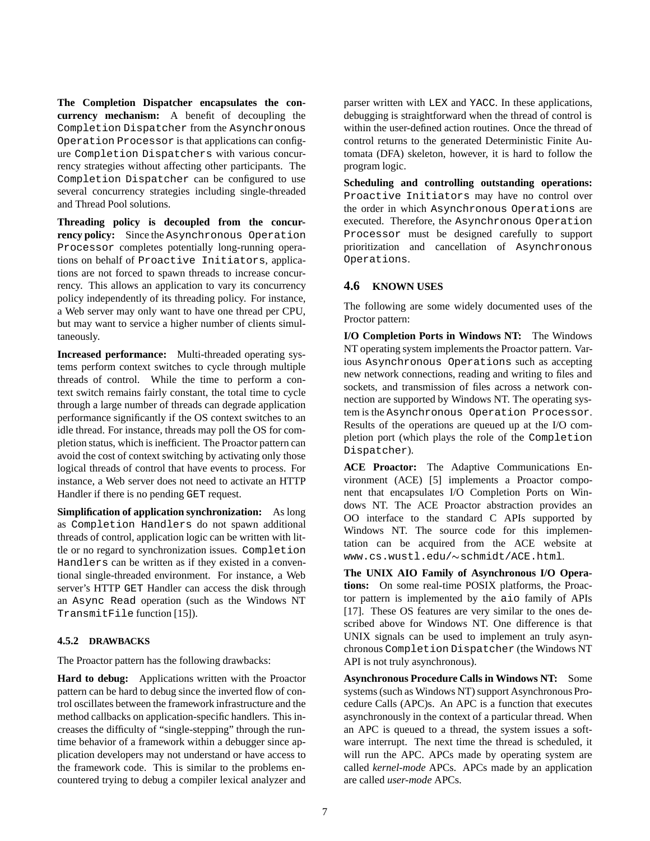**The Completion Dispatcher encapsulates the concurrency mechanism:** A benefit of decoupling the Completion Dispatcher from the Asynchronous Operation Processor is that applications can configure Completion Dispatchers with various concurrency strategies without affecting other participants. The Completion Dispatcher can be configured to use several concurrency strategies including single-threaded and Thread Pool solutions.

**Threading policy is decoupled from the concurrency policy:** Since the Asynchronous Operation Processor completes potentially long-running operations on behalf of Proactive Initiators, applications are not forced to spawn threads to increase concurrency. This allows an application to vary its concurrency policy independently of its threading policy. For instance, a Web server may only want to have one thread per CPU, but may want to service a higher number of clients simultaneously.

**Increased performance:** Multi-threaded operating systems perform context switches to cycle through multiple threads of control. While the time to perform a context switch remains fairly constant, the total time to cycle through a large number of threads can degrade application performance significantly if the OS context switches to an idle thread. For instance, threads may poll the OS for completion status, which is inefficient. The Proactor pattern can avoid the cost of context switching by activating only those logical threads of control that have events to process. For instance, a Web server does not need to activate an HTTP Handler if there is no pending GET request.

**Simplification of application synchronization:** As long as Completion Handlers do not spawn additional threads of control, application logic can be written with little or no regard to synchronization issues. Completion Handlers can be written as if they existed in a conventional single-threaded environment. For instance, a Web server's HTTP GET Handler can access the disk through an Async Read operation (such as the Windows NT TransmitFile function [15]).

#### **4.5.2 DRAWBACKS**

The Proactor pattern has the following drawbacks:

**Hard to debug:** Applications written with the Proactor pattern can be hard to debug since the inverted flow of control oscillates between the framework infrastructure and the method callbacks on application-specific handlers. This increases the difficulty of "single-stepping" through the runtime behavior of a framework within a debugger since application developers may not understand or have access to the framework code. This is similar to the problems encountered trying to debug a compiler lexical analyzer and parser written with LEX and YACC. In these applications, debugging is straightforward when the thread of control is within the user-defined action routines. Once the thread of control returns to the generated Deterministic Finite Automata (DFA) skeleton, however, it is hard to follow the program logic.

**Scheduling and controlling outstanding operations:** Proactive Initiators may have no control over the order in which Asynchronous Operations are executed. Therefore, the Asynchronous Operation Processor must be designed carefully to support prioritization and cancellation of Asynchronous Operations.

### **4.6 KNOWN USES**

The following are some widely documented uses of the Proctor pattern:

**I/O Completion Ports in Windows NT:** The Windows NT operating system implements the Proactor pattern. Various Asynchronous Operations such as accepting new network connections, reading and writing to files and sockets, and transmission of files across a network connection are supported by Windows NT. The operating system is the Asynchronous Operation Processor. Results of the operations are queued up at the I/O completion port (which plays the role of the Completion Dispatcher).

**ACE Proactor:** The Adaptive Communications Environment (ACE) [5] implements a Proactor component that encapsulates I/O Completion Ports on Windows NT. The ACE Proactor abstraction provides an OO interface to the standard C APIs supported by Windows NT. The source code for this implementation can be acquired from the ACE website at www.cs.wustl.edu/~schmidt/ACE.html.

**The UNIX AIO Family of Asynchronous I/O Operations:** On some real-time POSIX platforms, the Proactor pattern is implemented by the aio family of APIs [17]. These OS features are very similar to the ones described above for Windows NT. One difference is that UNIX signals can be used to implement an truly asynchronous Completion Dispatcher (the Windows NT API is not truly asynchronous).

**Asynchronous Procedure Calls in Windows NT:** Some systems (such as Windows NT) support Asynchronous Procedure Calls (APC)s. An APC is a function that executes asynchronously in the context of a particular thread. When an APC is queued to a thread, the system issues a software interrupt. The next time the thread is scheduled, it will run the APC. APCs made by operating system are called *kernel-mode* APCs. APCs made by an application are called *user-mode* APCs.